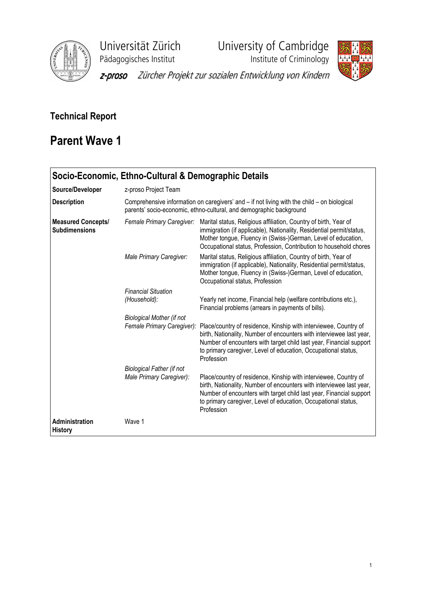

Universität Zürich<br>
Pädagogisches Institut **Varian University of Cambridge**<br>
Institute of Criminology Pädagogisches Institut



z-proso Zürcher Projekt zur sozialen Entwicklung von Kindern

## Technical Report

## Parent Wave 1

|                                                   | Socio-Economic, Ethno-Cultural & Demographic Details                                                                                                                                                                                                                                                        |                                                                                                                                                                                                                                                                                                 |  |  |  |  |  |
|---------------------------------------------------|-------------------------------------------------------------------------------------------------------------------------------------------------------------------------------------------------------------------------------------------------------------------------------------------------------------|-------------------------------------------------------------------------------------------------------------------------------------------------------------------------------------------------------------------------------------------------------------------------------------------------|--|--|--|--|--|
| Source/Developer                                  | z-proso Project Team                                                                                                                                                                                                                                                                                        |                                                                                                                                                                                                                                                                                                 |  |  |  |  |  |
| <b>Description</b>                                | Comprehensive information on caregivers' and – if not living with the child – on biological<br>parents' socio-economic, ethno-cultural, and demographic background                                                                                                                                          |                                                                                                                                                                                                                                                                                                 |  |  |  |  |  |
| <b>Measured Concepts/</b><br><b>Subdimensions</b> | Marital status, Religious affiliation, Country of birth, Year of<br>Female Primary Caregiver:<br>immigration (if applicable), Nationality, Residential permit/status,<br>Mother tongue, Fluency in (Swiss-)German, Level of education,<br>Occupational status, Profession, Contribution to household chores |                                                                                                                                                                                                                                                                                                 |  |  |  |  |  |
|                                                   | Male Primary Caregiver:                                                                                                                                                                                                                                                                                     | Marital status, Religious affiliation, Country of birth, Year of<br>immigration (if applicable), Nationality, Residential permit/status,<br>Mother tongue, Fluency in (Swiss-)German, Level of education,<br>Occupational status, Profession                                                    |  |  |  |  |  |
|                                                   | <b>Financial Situation</b><br>(Household):                                                                                                                                                                                                                                                                  | Yearly net income, Financial help (welfare contributions etc.),<br>Financial problems (arrears in payments of bills).                                                                                                                                                                           |  |  |  |  |  |
|                                                   | <b>Biological Mother (if not</b><br>Female Primary Caregiver):                                                                                                                                                                                                                                              | Place/country of residence, Kinship with interviewee, Country of<br>birth, Nationality, Number of encounters with interviewee last year,<br>Number of encounters with target child last year, Financial support<br>to primary caregiver, Level of education, Occupational status,<br>Profession |  |  |  |  |  |
|                                                   | <b>Biological Father (if not</b><br>Male Primary Caregiver):                                                                                                                                                                                                                                                | Place/country of residence, Kinship with interviewee, Country of<br>birth, Nationality, Number of encounters with interviewee last year,<br>Number of encounters with target child last year, Financial support<br>to primary caregiver, Level of education, Occupational status,<br>Profession |  |  |  |  |  |
| <b>Administration</b><br><b>History</b>           | Wave 1                                                                                                                                                                                                                                                                                                      |                                                                                                                                                                                                                                                                                                 |  |  |  |  |  |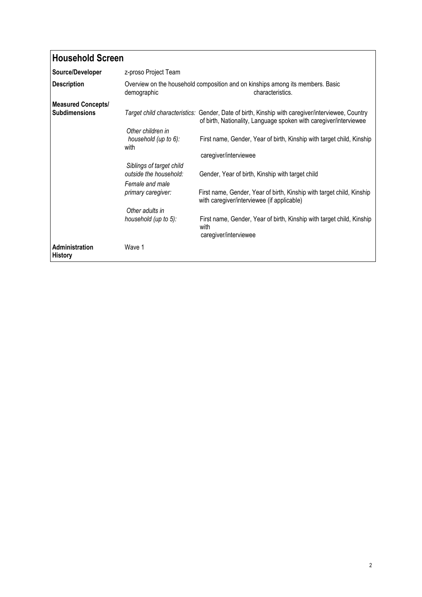| <b>Household Screen</b>                           |                                                                                                                   |                                                                                                                                                                       |  |  |  |  |  |
|---------------------------------------------------|-------------------------------------------------------------------------------------------------------------------|-----------------------------------------------------------------------------------------------------------------------------------------------------------------------|--|--|--|--|--|
| Source/Developer                                  | z-proso Project Team                                                                                              |                                                                                                                                                                       |  |  |  |  |  |
| <b>Description</b>                                | Overview on the household composition and on kinships among its members. Basic<br>demographic<br>characteristics. |                                                                                                                                                                       |  |  |  |  |  |
| <b>Measured Concepts/</b><br><b>Subdimensions</b> |                                                                                                                   | Target child characteristics: Gender, Date of birth, Kinship with caregiver/interviewee, Country<br>of birth, Nationality, Language spoken with caregiver/interviewee |  |  |  |  |  |
|                                                   | Other children in<br>household (up to 6):<br>with                                                                 | First name, Gender, Year of birth, Kinship with target child, Kinship<br>caregiver/interviewee                                                                        |  |  |  |  |  |
|                                                   | Siblings of target child<br>outside the household:                                                                | Gender, Year of birth, Kinship with target child                                                                                                                      |  |  |  |  |  |
|                                                   | Female and male<br>primary caregiver:                                                                             | First name, Gender, Year of birth, Kinship with target child, Kinship<br>with caregiver/interviewee (if applicable)                                                   |  |  |  |  |  |
|                                                   | Other adults in<br>household (up to 5):                                                                           | First name, Gender, Year of birth, Kinship with target child, Kinship<br>with<br>caregiver/interviewee                                                                |  |  |  |  |  |
| Administration<br><b>History</b>                  | Wave 1                                                                                                            |                                                                                                                                                                       |  |  |  |  |  |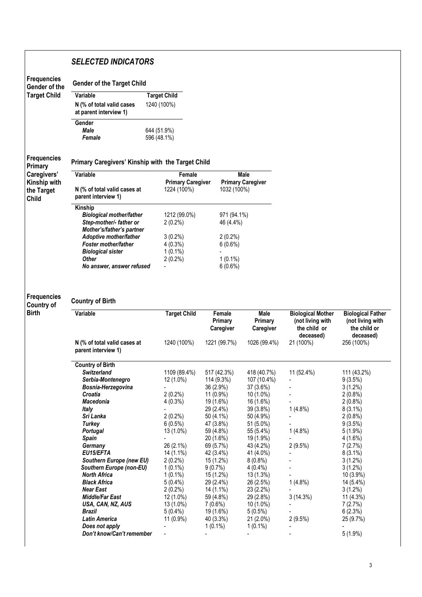## SELECTED INDICATORS

| <b>Frequencies</b><br>Gender of the       | <b>Gender of the Target Child</b>                                              |                                                   |                                      |                                          |                                                                           |                                                         |
|-------------------------------------------|--------------------------------------------------------------------------------|---------------------------------------------------|--------------------------------------|------------------------------------------|---------------------------------------------------------------------------|---------------------------------------------------------|
| <b>Target Child</b>                       | Variable                                                                       | <b>Target Child</b>                               |                                      |                                          |                                                                           |                                                         |
|                                           | N (% of total valid cases<br>at parent interview 1)                            | 1240 (100%)                                       |                                      |                                          |                                                                           |                                                         |
|                                           | Gender<br>Male<br>Female                                                       | 644 (51.9%)<br>596 (48.1%)                        |                                      |                                          |                                                                           |                                                         |
| <b>Frequencies</b><br><b>Primary</b>      | Primary Caregivers' Kinship with the Target Child                              |                                                   |                                      |                                          |                                                                           |                                                         |
| Caregivers'<br>Kinship with<br>the Target | Variable<br>N (% of total valid cases at                                       | Female<br><b>Primary Caregiver</b><br>1224 (100%) | 1032 (100%)                          | <b>Male</b><br><b>Primary Caregiver</b>  |                                                                           |                                                         |
| <b>Child</b>                              | parent interview 1)<br>Kinship<br><b>Biological mother/father</b>              | 1212 (99.0%)                                      | 971 (94.1%)                          |                                          |                                                                           |                                                         |
|                                           | Step-mother/- father or<br>Mother's/father's partner<br>Adoptive mother/father | $2(0.2\%)$<br>$3(0.2\%)$                          | 46 (4.4%)<br>$2(0.2\%)$              |                                          |                                                                           |                                                         |
|                                           | <b>Foster mother/father</b><br><b>Biological sister</b><br><b>Other</b>        | $4(0.3\%)$<br>$1(0.1\%)$                          | 6(0.6%)                              |                                          |                                                                           |                                                         |
|                                           | No answer, answer refused                                                      | $2(0.2\%)$                                        | $1(0.1\%)$<br>6(0.6%)                |                                          |                                                                           |                                                         |
| <b>Frequencies</b><br><b>Country of</b>   | <b>Country of Birth</b>                                                        |                                                   |                                      |                                          |                                                                           |                                                         |
| <b>Birth</b>                              | Variable                                                                       | <b>Target Child</b>                               | Female<br>Primary<br>Caregiver       | <b>Male</b><br>Primary<br>Caregiver      | <b>Biological Mother</b><br>(not living with<br>the child or<br>deceased) | <b>Biological</b><br>(not living<br>the chile<br>deceas |
|                                           | N (% of total valid cases at<br>parent interview 1)                            | 1240 (100%)                                       | 1221 (99.7%)                         | 1026 (99.4%)                             | 21 (100%)                                                                 | 256 (100%)                                              |
|                                           | <b>Country of Birth</b><br><b>Switzerland</b>                                  | 1109 (89.4%)                                      | 517 (42.3%)                          | 418 (40.7%)                              | 11 (52.4%)                                                                | 111 (43.2%)                                             |
|                                           | Serbia-Montenegro<br>Bosnia-Herzegovina<br>Croatia                             | 12 (1.0%)<br>$2(0.2\%)$                           | 114 (9.3%)<br>36 (2.9%)<br>11 (0.9%) | 107 (10.4%)<br>37 (3.6%)<br>10 (1.0%)    |                                                                           | 9(3.5%)<br>$3(1.2\%)$<br>$2(0.8\%)$                     |
|                                           | Macedonia<br><b>Italy</b>                                                      | $4(0.3\%)$                                        | 19 (1.6%)<br>29 (2.4%)               | 16 (1.6%)<br>39 (3.8%)                   | $1(4.8\%)$                                                                | $2(0.8\%)$<br>$8(3.1\%)$                                |
|                                           | Sri Lanka<br>Turkey<br><b>Portugal</b>                                         | $2(0.2\%)$<br>6(0.5%)<br>13 (1.0%)                | 50 (4.1%)<br>47 (3.8%)<br>59 (4.8%)  | 50 (4.9%)<br>51 (5.0%)<br>55 (5.4%)      | $1(4.8\%)$                                                                | $2(0.8\%)$<br>$9(3.5\%)$<br>$5(1.9\%)$                  |
|                                           | Spain<br>Germany<br>EU15/EFTA                                                  | 26 (2.1%)<br>14 (1.1%)                            | 20 (1.6%)<br>69 (5.7%)<br>42 (3.4%)  | 19 (1.9%)<br>43 (4.2%)<br>41 (4.0%)      | 2(9.5%)                                                                   | 4 (1.6%)<br>7(2.7%)<br>$8(3.1\%)$                       |
|                                           | Southern Europe (new EU)<br>Southern Europe (non-EU)<br>North Africa           | $2(0.2\%)$<br>$1(0.1\%)$<br>$1(0.1\%)$            | 15 (1.2%)<br>9(0.7%)<br>15 (1.2%)    | $8(0.8\%)$<br>4 (0.4%)<br>13 (1.3%)      |                                                                           | $3(1.2\%)$<br>$3(1.2\%)$<br>$10(3.9\%)$                 |
|                                           | <b>Black Africa</b><br><b>Near East</b><br><b>Middle/Far East</b>              | $5(0.4\%)$<br>$2(0.2\%)$<br>12 (1.0%)             | 29 (2.4%)<br>14 (1.1%)<br>59 (4.8%)  | 26 (2.5%)<br>23 (2.2%)<br>29 (2.8%)      | $1(4.8\%)$<br>3(14.3%)                                                    | 14 (5.4%)<br>$3(1.2\%)$<br>11 (4.3%)                    |
|                                           | USA, CAN, NZ, AUS<br><b>Brazil</b><br>Latin America                            | 13 (1.0%)<br>$5(0.4\%)$<br>$11(0.9\%)$            | $7(0.6\%)$<br>19 (1.6%)<br>40 (3.3%) | $10(1.0\%)$<br>$5(0.5\%)$<br>$21(2.0\%)$ | 2(9.5%)                                                                   | 7 (2.7%)<br>6(2.3%)<br>25 (9.7%)                        |
|                                           | Does not apply<br>Don't know/Can't remember                                    |                                                   | $1(0.1\%)$                           | $1(0.1\%)$                               |                                                                           | $5(1.9\%)$                                              |

-

Biological Father (not living with the child or deceased)

111 (43.2%) 9 (3.5%) 3 (1.2%)  $2(0.8\%)$  $2(0.8\%)$ 8 (3.1%) 2 (0.8%)  $9(3.5%)$ 5 (1.9%) 4 (1.6%) 7 (2.7%) 8 (3.1%) 3 (1.2%) 3 (1.2%) 10 (3.9%) 14 (5.4%) 3 (1.2%) 11 (4.3%) 7 (2.7%) 6 (2.3%)  $25 (9.7%)$ - 5 (1.9%)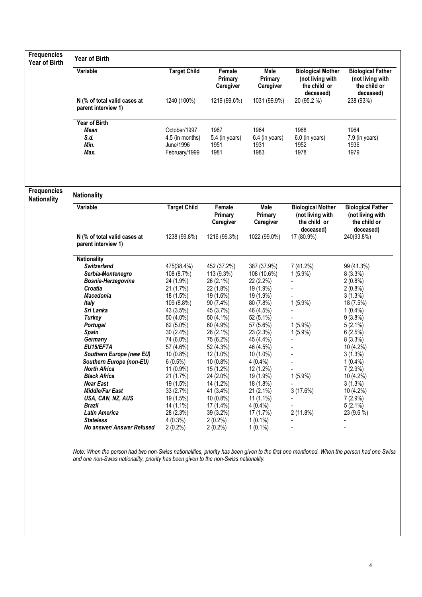| <b>Frequencies</b><br><b>Year of Birth</b> | <b>Year of Birth</b>                                                                                                                                                                                                                                                                                                                                                                                                                                                      |                                                                                                                                                                                                                                                                                                                  |                                                                                                                                                                                                                                                                                                                |                                                                                                                                                                                                                                                                                                                      |                                                                                                                                |                                                                                                                                                                                                                                                                                                 |  |  |  |
|--------------------------------------------|---------------------------------------------------------------------------------------------------------------------------------------------------------------------------------------------------------------------------------------------------------------------------------------------------------------------------------------------------------------------------------------------------------------------------------------------------------------------------|------------------------------------------------------------------------------------------------------------------------------------------------------------------------------------------------------------------------------------------------------------------------------------------------------------------|----------------------------------------------------------------------------------------------------------------------------------------------------------------------------------------------------------------------------------------------------------------------------------------------------------------|----------------------------------------------------------------------------------------------------------------------------------------------------------------------------------------------------------------------------------------------------------------------------------------------------------------------|--------------------------------------------------------------------------------------------------------------------------------|-------------------------------------------------------------------------------------------------------------------------------------------------------------------------------------------------------------------------------------------------------------------------------------------------|--|--|--|
|                                            | Variable                                                                                                                                                                                                                                                                                                                                                                                                                                                                  | <b>Target Child</b>                                                                                                                                                                                                                                                                                              | Female<br>Primary<br>Caregiver                                                                                                                                                                                                                                                                                 | Male<br>Primary<br>Caregiver                                                                                                                                                                                                                                                                                         | <b>Biological Mother</b><br>(not living with<br>the child or<br>deceased)                                                      | <b>Biological Father</b><br>(not living with<br>the child or<br>deceased)                                                                                                                                                                                                                       |  |  |  |
|                                            | N (% of total valid cases at<br>parent interview 1)                                                                                                                                                                                                                                                                                                                                                                                                                       | 1240 (100%)                                                                                                                                                                                                                                                                                                      | 1219 (99.6%)                                                                                                                                                                                                                                                                                                   | 1031 (99.9%)                                                                                                                                                                                                                                                                                                         | 20 (95.2 %)                                                                                                                    | 238 (93%)                                                                                                                                                                                                                                                                                       |  |  |  |
|                                            | Year of Birth<br><b>Mean</b><br>S.d.<br>Min.<br>Max.                                                                                                                                                                                                                                                                                                                                                                                                                      | October/1997<br>4.5 (in months)<br>June/1996<br>February/1999                                                                                                                                                                                                                                                    | 1967<br>5.4 (in years)<br>1951<br>1981                                                                                                                                                                                                                                                                         | 1964<br>6.4 (in years)<br>1931<br>1983                                                                                                                                                                                                                                                                               | 1968<br>6.0 (in years)<br>1952<br>1978                                                                                         | 1964<br>7.9 (in years)<br>1936<br>1979                                                                                                                                                                                                                                                          |  |  |  |
| <b>Frequencies</b><br><b>Nationality</b>   | <b>Nationality</b>                                                                                                                                                                                                                                                                                                                                                                                                                                                        |                                                                                                                                                                                                                                                                                                                  |                                                                                                                                                                                                                                                                                                                |                                                                                                                                                                                                                                                                                                                      |                                                                                                                                |                                                                                                                                                                                                                                                                                                 |  |  |  |
|                                            | Variable                                                                                                                                                                                                                                                                                                                                                                                                                                                                  | <b>Target Child</b>                                                                                                                                                                                                                                                                                              | Female<br>Primary<br>Caregiver                                                                                                                                                                                                                                                                                 | Male<br>Primary<br>Caregiver                                                                                                                                                                                                                                                                                         | <b>Biological Mother</b><br>(not living with<br>the child or<br>deceased)                                                      | <b>Biological Father</b><br>(not living with<br>the child or<br>deceased)                                                                                                                                                                                                                       |  |  |  |
|                                            | N (% of total valid cases at<br>parent interview 1)                                                                                                                                                                                                                                                                                                                                                                                                                       | 1238 (99.8%)                                                                                                                                                                                                                                                                                                     | 1216 (99.3%)                                                                                                                                                                                                                                                                                                   | 1022 (99.0%)                                                                                                                                                                                                                                                                                                         | 17 (80.9%)                                                                                                                     | 240(93.8%)                                                                                                                                                                                                                                                                                      |  |  |  |
|                                            | <b>Nationality</b><br><b>Switzerland</b><br>Serbia-Montenegro<br>Bosnia-Herzegovina<br>Croatia<br><b>Macedonia</b><br><b>Italy</b><br>Sri Lanka<br>Turkey<br><b>Portugal</b><br><b>Spain</b><br>Germany<br>EU15/EFTA<br>Southern Europe (new EU)<br>Southern Europe (non-EU)<br><b>North Africa</b><br><b>Black Africa</b><br><b>Near East</b><br>Middle/Far East<br>USA, CAN, NZ, AUS<br><b>Brazil</b><br>Latin America<br><b>Stateless</b><br>No answer/ Answer Refused | 475(38.4%)<br>108 (8.7%)<br>24 (1.9%)<br>21 (1.7%)<br>18 (1.5%)<br>109 (8.8%)<br>43 (3.5%)<br>50 (4.0%)<br>62 (5.0%)<br>$30(2.4\%)$<br>74 (6.0%)<br>57 (4.6%)<br>10 (0.8%)<br>$6(0.5\%)$<br>$11(0.9\%)$<br>21 (1.7%)<br>19 (1.5%)<br>33(2.7%)<br>19 (1.5%)<br>14 (1.1%)<br>28 (2.3%)<br>$4(0.3\%)$<br>$2(0.2\%)$ | 452 (37.2%)<br>113 (9.3%)<br>26 (2.1%)<br>22 (1.8%)<br>19 (1.6%)<br>90 (7.4%)<br>45 (3.7%)<br>50 (4.1%)<br>60 (4.9%)<br>26 (2.1%)<br>75 (6.2%)<br>52 (4.3%)<br>12 (1.0%)<br>10 (0.8%)<br>15 (1.2%)<br>24 (2.0%)<br>14 (1.2%)<br>41 (3.4%)<br>$10(0.8\%)$<br>17 (1.4%)<br>39 (3.2%)<br>$2(0.2\%)$<br>$2(0.2\%)$ | 387 (37.9%)<br>108 (10.6%)<br>22 (2.2%)<br>19 (1.9%)<br>19 (1.9%)<br>80 (7.8%)<br>46 (4.5%)<br>52 (5.1%)<br>57 (5.6%)<br>23 (2.3%)<br>45 (4.4%)<br>46 (4.5%)<br>$10(1.0\%)$<br>$4(0.4\%)$<br>12 (1.2%)<br>19 (1.9%)<br>18 (1.8%)<br>$21(2.1\%)$<br>$11(1.1\%)$<br>$4(0.4\%)$<br>17(1.7%)<br>$1(0.1\%)$<br>$1(0.1\%)$ | 7 (41.2%)<br>$1(5.9\%)$<br>$1(5.9\%)$<br>$1(5.9\%)$<br>$1(5.9\%)$<br>$\overline{a}$<br>÷<br>$1(5.9\%)$<br>3(17.6%)<br>2(11.8%) | 99 (41.3%)<br>8(3.3%)<br>$2(0.8\%)$<br>$2(0.8\%)$<br>3(1.3%)<br>18 (7.5%)<br>$1(0.4\%)$<br>9(3.8%)<br>$5(2.1\%)$<br>6(2.5%)<br>$8(3.3\%)$<br>10 (4.2%)<br>$3(1.3\%)$<br>$1(0.4\%)$<br>7 (2.9%)<br>10 (4.2%)<br>$3(1.3\%)$<br>10 (4.2%)<br>7(2.9%)<br>$5(2.1\%)$<br>23 (9.6 %)<br>$\overline{a}$ |  |  |  |

Note: When the person had two non-Swiss nationalities, priority has been given to the first one mentioned. When the person had one Swiss and one non-Swiss nationality, priority has been given to the non-Swiss nationality.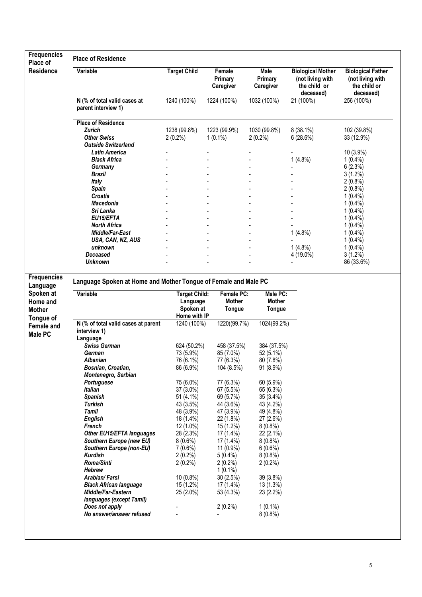| <b>Frequencies</b><br>Place of | <b>Place of Residence</b>                                       |                      |                                |                              |                                                                           |                                                                           |
|--------------------------------|-----------------------------------------------------------------|----------------------|--------------------------------|------------------------------|---------------------------------------------------------------------------|---------------------------------------------------------------------------|
| <b>Residence</b>               | Variable                                                        | <b>Target Child</b>  | Female<br>Primary<br>Caregiver | Male<br>Primary<br>Caregiver | <b>Biological Mother</b><br>(not living with<br>the child or<br>deceased) | <b>Biological Father</b><br>(not living with<br>the child or<br>deceased) |
|                                | N (% of total valid cases at<br>parent interview 1)             | 1240 (100%)          | 1224 (100%)                    | 1032 (100%)                  | 21 (100%)                                                                 | 256 (100%)                                                                |
|                                | <b>Place of Residence</b>                                       |                      |                                |                              |                                                                           |                                                                           |
|                                | Zurich                                                          | 1238 (99.8%)         | 1223 (99.9%)                   | 1030 (99.8%)                 | $8(38.1\%)$                                                               | 102 (39.8%)                                                               |
|                                | <b>Other Swiss</b><br><b>Outside Switzerland</b>                | $2(0.2\%)$           | $1(0.1\%)$                     | $2(0.2\%)$                   | 6(28.6%)                                                                  | 33 (12.9%)                                                                |
|                                |                                                                 |                      |                                |                              |                                                                           |                                                                           |
|                                | Latin America                                                   |                      |                                |                              |                                                                           | 10 (3.9%)                                                                 |
|                                | Black Africa                                                    |                      |                                |                              | $1(4.8\%)$                                                                | $1(0.4\%)$                                                                |
|                                | Germany                                                         |                      |                                |                              |                                                                           | 6(2.3%)                                                                   |
|                                | Brazil                                                          |                      |                                |                              |                                                                           | $3(1.2\%)$                                                                |
|                                | Italy                                                           |                      |                                |                              |                                                                           | $2(0.8\%)$                                                                |
|                                | <b>Spain</b>                                                    |                      |                                |                              |                                                                           | $2(0.8\%)$                                                                |
|                                | Croatia                                                         |                      |                                |                              |                                                                           | $1(0.4\%)$                                                                |
|                                | <b>Macedonia</b>                                                |                      |                                |                              |                                                                           | $1(0.4\%)$                                                                |
|                                | Sri Lanka                                                       |                      |                                |                              |                                                                           | $1(0.4\%)$                                                                |
|                                | EU15/EFTA                                                       |                      |                                |                              |                                                                           | $1(0.4\%)$                                                                |
|                                | <b>North Africa</b>                                             |                      |                                |                              |                                                                           | $1(0.4\%)$                                                                |
|                                | Middle/Far-East                                                 |                      |                                |                              | 1(4.8%)                                                                   | $1(0.4\%)$                                                                |
|                                | USA, CAN, NZ, AUS                                               |                      |                                |                              |                                                                           | $1(0.4\%)$                                                                |
|                                | unknown                                                         |                      |                                |                              | $1(4.8\%)$                                                                | $1(0.4\%)$                                                                |
|                                | Deceased                                                        |                      |                                |                              | 4 (19.0%)                                                                 | $3(1.2\%)$                                                                |
|                                | <b>Unknown</b>                                                  |                      |                                |                              |                                                                           | 86 (33.6%)                                                                |
| <b>Frequencies</b>             | Language Spoken at Home and Mother Tongue of Female and Male PC |                      |                                |                              |                                                                           |                                                                           |
| Language                       |                                                                 |                      |                                |                              |                                                                           |                                                                           |
| Spoken at                      | Variable                                                        | <b>Target Child:</b> | Female PC:                     | Male PC:                     |                                                                           |                                                                           |
| Home and                       |                                                                 | Language             | Mother                         | Mother                       |                                                                           |                                                                           |
| <b>Mother</b>                  |                                                                 | Spoken at            | Tongue                         | <b>Tongue</b>                |                                                                           |                                                                           |
| Tongue of                      |                                                                 | Home with IP         |                                |                              |                                                                           |                                                                           |
| Female and<br>Male PC          | N (% of total valid cases at parent<br>interview 1)<br>Language | 1240 (100%)          | 1220((99.7%)                   | 1024(99.2%)                  |                                                                           |                                                                           |
|                                | <b>Swiss German</b>                                             | 624 (50.2%)          | 458 (37.5%)                    | 384 (37.5%)                  |                                                                           |                                                                           |
|                                | German                                                          | 73 (5.9%)            | 85 (7.0%)                      | 52 (5.1%)                    |                                                                           |                                                                           |
|                                | Albanian                                                        | 76 (6.1%)            | 77 (6.3%)                      | 80 (7.8%)                    |                                                                           |                                                                           |
|                                | Bosnian, Croatian,                                              | 86 (6.9%)            | 104 (8.5%)                     | $91(8.9\%)$                  |                                                                           |                                                                           |
|                                | Montenegro, Serbian                                             |                      |                                |                              |                                                                           |                                                                           |
|                                | Portuguese                                                      | 75 (6.0%)            | 77 (6.3%)                      | 60 (5.9%)                    |                                                                           |                                                                           |
|                                | <b>Italian</b>                                                  | 37 (3.0%)            | 67 (5.5%)                      | 65 (6.3%)                    |                                                                           |                                                                           |
|                                | <b>Spanish</b>                                                  | 51 (4.1%)            | 69 (5.7%)                      | 35(3.4%)                     |                                                                           |                                                                           |
|                                | <b>Turkish</b>                                                  | 43 (3.5%)            | 44 (3.6%)                      | 43 (4.2%)                    |                                                                           |                                                                           |
|                                | <b>Tamil</b>                                                    | 48 (3.9%)            | 47 (3.9%)                      | 49 (4.8%)                    |                                                                           |                                                                           |
|                                | <b>English</b>                                                  | 18 (1.4%)            | 22 (1.8%)                      | 27 (2.6%)                    |                                                                           |                                                                           |
|                                | French                                                          | 12 (1.0%)            | 15 (1.2%)                      | $8(0.8\%)$                   |                                                                           |                                                                           |
|                                | Other EU15/EFTA languages                                       | 28 (2.3%)            | 17 (1.4%)                      | 22 (2.1%)                    |                                                                           |                                                                           |
|                                | Southern Europe (new EU)                                        | 8(0.6%)              | 17 (1.4%)                      | $8(0.8\%)$                   |                                                                           |                                                                           |
|                                | Southern Europe (non-EU)                                        | $7(0.6\%)$           | $11(0.9\%)$                    | 6(0.6%)                      |                                                                           |                                                                           |
|                                | <b>Kurdish</b>                                                  | $2(0.2\%)$           | $5(0.4\%)$                     | $8(0.8\%)$                   |                                                                           |                                                                           |
|                                | Roma/Sinti                                                      | $2(0.2\%)$           | $2(0.2\%)$                     | $2(0.2\%)$                   |                                                                           |                                                                           |
|                                | Hebrew                                                          |                      | $1(0.1\%)$                     |                              |                                                                           |                                                                           |
|                                | Arabian/Farsi                                                   | 10 (0.8%)            | 30 (2.5%)                      | 39 (3.8%)                    |                                                                           |                                                                           |
|                                | <b>Black African language</b>                                   | 15 (1.2%)            | 17 (1.4%)                      | 13 (1.3%)                    |                                                                           |                                                                           |
|                                | Middle/Far-Eastern                                              | 25 (2.0%)            | 53 (4.3%)                      | 23 (2.2%)                    |                                                                           |                                                                           |
|                                | languages (except Tamil)                                        |                      |                                |                              |                                                                           |                                                                           |
|                                | Does not apply                                                  |                      | $2(0.2\%)$                     | $1(0.1\%)$                   |                                                                           |                                                                           |
|                                | No answer/answer refused                                        |                      |                                | $8(0.8\%)$                   |                                                                           |                                                                           |
|                                |                                                                 |                      |                                |                              |                                                                           |                                                                           |
|                                |                                                                 |                      |                                |                              |                                                                           |                                                                           |
|                                |                                                                 |                      |                                |                              |                                                                           |                                                                           |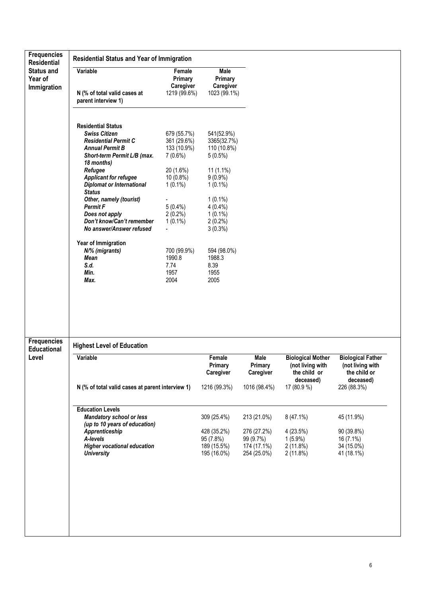| <b>Residential</b>                                | <b>Residential Status and Year of Immigration</b>                                                            |                                                         |                                                        |                          |                                                                           |                                                                           |
|---------------------------------------------------|--------------------------------------------------------------------------------------------------------------|---------------------------------------------------------|--------------------------------------------------------|--------------------------|---------------------------------------------------------------------------|---------------------------------------------------------------------------|
| <b>Status and</b><br>Year of                      | Variable                                                                                                     | Female<br>Primary                                       | Male<br>Primary                                        |                          |                                                                           |                                                                           |
| Immigration                                       | N (% of total valid cases at<br>parent interview 1)                                                          | Caregiver<br>1219 (99.6%)                               | Caregiver<br>1023 (99.1%)                              |                          |                                                                           |                                                                           |
|                                                   | <b>Residential Status</b>                                                                                    |                                                         |                                                        |                          |                                                                           |                                                                           |
|                                                   | <b>Swiss Citizen</b><br><b>Residential Permit C</b><br><b>Annual Permit B</b><br>Short-term Permit L/B (max. | 679 (55.7%)<br>361 (29.6%)<br>133 (10.9%)<br>$7(0.6\%)$ | 541(52.9%)<br>3365(32.7%)<br>110 (10.8%)<br>$5(0.5\%)$ |                          |                                                                           |                                                                           |
|                                                   | 18 months)<br>Refugee<br><b>Applicant for refugee</b><br><b>Diplomat or International</b>                    | 20 (1.6%)<br>10 (0.8%)<br>$1(0.1\%)$                    | $11(1.1\%)$<br>$9(0.9\%)$<br>$1(0.1\%)$                |                          |                                                                           |                                                                           |
|                                                   | <b>Status</b><br>Other, namely (tourist)<br><b>Permit F</b>                                                  | $5(0.4\%)$                                              | $1(0.1\%)$<br>$4(0.4\%)$                               |                          |                                                                           |                                                                           |
|                                                   | Does not apply<br>Don't know/Can't remember<br>No answer/Answer refused                                      | $2(0.2\%)$<br>$1(0.1\%)$                                | $1(0.1\%)$<br>$2(0.2\%)$<br>$3(0.3\%)$                 |                          |                                                                           |                                                                           |
|                                                   | Year of Immigration<br>N/% (migrants)<br><b>Mean</b>                                                         | 700 (99.9%)<br>1990.8                                   | 594 (98.0%)<br>1988.3                                  |                          |                                                                           |                                                                           |
|                                                   | S.d.<br>Min.                                                                                                 | 7.74<br>1957                                            | 8.39<br>1955                                           |                          |                                                                           |                                                                           |
|                                                   | Max.                                                                                                         | 2004                                                    |                                                        |                          |                                                                           |                                                                           |
|                                                   |                                                                                                              |                                                         | 2005                                                   |                          |                                                                           |                                                                           |
| <b>Frequencies</b><br><b>Educational</b><br>Level | <b>Highest Level of Education</b><br>Variable                                                                |                                                         | Female                                                 | Male                     |                                                                           |                                                                           |
|                                                   |                                                                                                              |                                                         | Primary<br>Caregiver                                   | Primary<br>Caregiver     | <b>Biological Mother</b><br>(not living with<br>the child or<br>deceased) | <b>Biological Father</b><br>(not living with<br>the child or<br>deceased) |
|                                                   | N (% of total valid cases at parent interview 1)                                                             |                                                         | 1216 (99.3%)                                           | 1016 (98.4%)             | 17 (80.9 %)                                                               | 226 (88.3%)                                                               |
|                                                   | <b>Education Levels</b>                                                                                      |                                                         |                                                        |                          |                                                                           |                                                                           |
|                                                   | <b>Mandatory school or less</b><br>(up to 10 years of education)                                             |                                                         | 309 (25.4%)                                            | 213 (21.0%)              | 8 (47.1%)                                                                 | 45 (11.9%)                                                                |
|                                                   | Apprenticeship                                                                                               |                                                         | 428 (35.2%)                                            | 276 (27.2%)              | 4(23.5%)                                                                  | 90 (39.8%)                                                                |
|                                                   | A-levels<br><b>Higher vocational education</b>                                                               |                                                         | 95 (7.8%)<br>189 (15.5%)                               | 99 (9.7%)<br>174 (17.1%) | $1(5.9\%)$<br>2(11.8%)                                                    | 16 (7.1%)<br>34 (15.0%)                                                   |
|                                                   | <b>University</b>                                                                                            |                                                         | 195 (16.0%)                                            | 254 (25.0%)              | $2(11.8\%)$                                                               | 41 (18.1%)                                                                |
|                                                   |                                                                                                              |                                                         |                                                        |                          |                                                                           |                                                                           |
|                                                   |                                                                                                              |                                                         |                                                        |                          |                                                                           |                                                                           |
|                                                   |                                                                                                              |                                                         |                                                        |                          |                                                                           |                                                                           |
|                                                   |                                                                                                              |                                                         |                                                        |                          |                                                                           |                                                                           |
|                                                   |                                                                                                              |                                                         |                                                        |                          |                                                                           |                                                                           |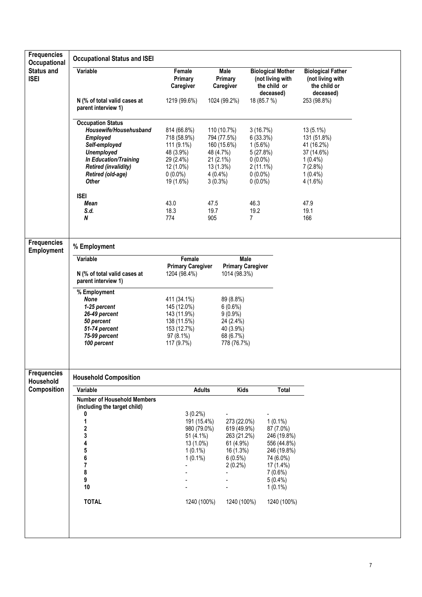| <b>Frequencies</b><br>Occupational      | <b>Occupational Status and ISEI</b>                                                                                                                                                               |                                                                                                               |                                                                                                              |                                                                                                         |                                                                                                                                                           |                                                                                                        |  |
|-----------------------------------------|---------------------------------------------------------------------------------------------------------------------------------------------------------------------------------------------------|---------------------------------------------------------------------------------------------------------------|--------------------------------------------------------------------------------------------------------------|---------------------------------------------------------------------------------------------------------|-----------------------------------------------------------------------------------------------------------------------------------------------------------|--------------------------------------------------------------------------------------------------------|--|
| <b>Status and</b><br><b>ISEI</b>        | Variable                                                                                                                                                                                          | Female<br>Primary<br>Caregiver                                                                                | Male<br>Primary<br>Caregiver                                                                                 |                                                                                                         | <b>Biological Mother</b><br>(not living with<br>the child or                                                                                              | <b>Biological Father</b><br>(not living with<br>the child or                                           |  |
|                                         | N (% of total valid cases at<br>parent interview 1)                                                                                                                                               | 1219 (99.6%)                                                                                                  | 1024 (99.2%)                                                                                                 | 18 (85.7 %)                                                                                             | deceased)                                                                                                                                                 | deceased)<br>253 (98.8%)                                                                               |  |
|                                         | <b>Occupation Status</b><br>Housewife/Househusband<br><b>Employed</b><br>Self-employed<br><b>Unemployed</b><br>In Education/Training<br><b>Retired (invalidity)</b><br>Retired (old-age)<br>Other | 814 (66.8%)<br>718 (58.9%)<br>111 (9.1%)<br>48 (3.9%)<br>29 (2.4%)<br>12 (1.0%)<br>$0(0.0\%)$<br>19 (1.6%)    | 110 (10.7%)<br>794 (77.5%)<br>160 (15.6%)<br>48 (4.7%)<br>21 (2.1%)<br>13 (1.3%)<br>$4(0.4\%)$<br>$3(0.3\%)$ | 3(16.7%)<br>6(33.3%)<br>$1(5.6\%)$<br>5(27.8%)<br>$0(0.0\%)$<br>$2(11.1\%)$<br>$0(0.0\%)$<br>$0(0.0\%)$ |                                                                                                                                                           | 13 (5.1%)<br>131 (51.8%)<br>41 (16.2%)<br>37 (14.6%)<br>$1(0.4\%)$<br>7(2.8%)<br>$1(0.4\%)$<br>4(1.6%) |  |
|                                         | <b>ISEI</b><br>Mean<br>S.d.<br>N                                                                                                                                                                  | 43.0<br>18.3<br>774                                                                                           | 47.5<br>19.7<br>905                                                                                          | 46.3<br>19.2<br>$\overline{7}$                                                                          |                                                                                                                                                           | 47.9<br>19.1<br>166                                                                                    |  |
| <b>Frequencies</b><br><b>Employment</b> | % Employment                                                                                                                                                                                      |                                                                                                               |                                                                                                              |                                                                                                         |                                                                                                                                                           |                                                                                                        |  |
|                                         | Variable<br>N (% of total valid cases at<br>parent interview 1)                                                                                                                                   | Female<br><b>Primary Caregiver</b><br>1204 (98.4%)                                                            |                                                                                                              | Male<br><b>Primary Caregiver</b><br>1014 (98.3%)                                                        |                                                                                                                                                           |                                                                                                        |  |
|                                         | % Employment<br><b>None</b><br>1-25 percent<br>26-49 percent<br>50 percent<br>51-74 percent<br>75-99 percent<br>100 percent                                                                       | 411 (34.1%)<br>145 (12.0%)<br>143 (11.9%)<br>138 (11.5%)<br>153 (12.7%)<br>97 (8.1%)<br>117 (9.7%)            | 89 (8.8%)<br>6(0.6%)<br>$9(0.9\%)$<br>24 (2.4%)<br>40 (3.9%)<br>68 (6.7%)<br>778 (76.7%)                     |                                                                                                         |                                                                                                                                                           |                                                                                                        |  |
| <b>Frequencies</b><br>Household         | <b>Household Composition</b>                                                                                                                                                                      |                                                                                                               |                                                                                                              |                                                                                                         |                                                                                                                                                           |                                                                                                        |  |
| Composition                             | Variable                                                                                                                                                                                          | <b>Adults</b>                                                                                                 |                                                                                                              | <b>Kids</b>                                                                                             | <b>Total</b>                                                                                                                                              |                                                                                                        |  |
|                                         | <b>Number of Household Members</b><br>(including the target child)<br>0<br>1<br>$\overline{\mathbf{2}}$<br>3<br>4<br>5<br>6<br>$\overline{7}$<br>8<br>9<br>10<br><b>TOTAL</b>                     | $3(0.2\%)$<br>191 (15.4%)<br>980 (79.0%)<br>51 (4.1%)<br>13 (1.0%)<br>$1(0.1\%)$<br>$1(0.1\%)$<br>1240 (100%) | $6(0.5\%)$<br>$2(0.2\%)$                                                                                     | 273 (22.0%)<br>619 (49.9%)<br>263 (21.2%)<br>61 (4.9%)<br>16 (1.3%)<br>1240 (100%)                      | $1(0.1\%)$<br>87 (7.0%)<br>246 (19.8%)<br>556 (44.8%)<br>246 (19.8%)<br>74 (6.0%)<br>$17(1.4\%)$<br>$7(0.6\%)$<br>$5(0.4\%)$<br>$1(0.1\%)$<br>1240 (100%) |                                                                                                        |  |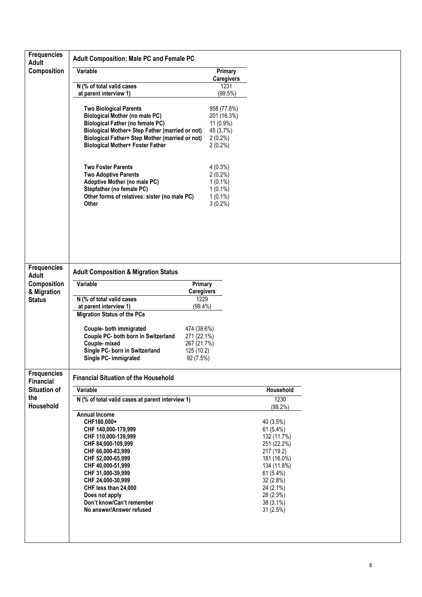| <b>Frequencies</b><br><b>Adult</b>     | <b>Adult Composition: Male PC and Female PC</b>                                                                                                                                                                                                                                                                     |                                                                                  |                                                                                                                                                                                |  |
|----------------------------------------|---------------------------------------------------------------------------------------------------------------------------------------------------------------------------------------------------------------------------------------------------------------------------------------------------------------------|----------------------------------------------------------------------------------|--------------------------------------------------------------------------------------------------------------------------------------------------------------------------------|--|
| Composition                            | Variable                                                                                                                                                                                                                                                                                                            | Primary<br><b>Caregivers</b>                                                     |                                                                                                                                                                                |  |
|                                        | N (% of total valid cases<br>at parent interview 1)                                                                                                                                                                                                                                                                 | 1231<br>(99.5%)                                                                  |                                                                                                                                                                                |  |
|                                        | <b>Two Biological Parents</b><br><b>Biological Mother (no male PC)</b><br><b>Biological Father (no female PC)</b><br>Biological Mother+ Step Father (married or not)<br>Biological Father+ Step Mother (married or not)<br><b>Biological Mother+ Foster Father</b>                                                  | 958 (77.8%)<br>201 (16.3%)<br>11 (0.9%)<br>45 (3.7%)<br>$2(0.2\%)$<br>$2(0.2\%)$ |                                                                                                                                                                                |  |
|                                        | <b>Two Foster Parents</b><br><b>Two Adoptive Parents</b><br><b>Adoptive Mother (no male PC)</b><br>Stepfather (no female PC)<br>Other forms of relatives: sister (no male PC)<br>Other                                                                                                                              | $4(0.3\%)$<br>$2(0.2\%)$<br>$1(0.1\%)$<br>$1(0.1\%)$<br>$1(0.1\%)$<br>$3(0.2\%)$ |                                                                                                                                                                                |  |
| <b>Frequencies</b>                     | <b>Adult Composition &amp; Migration Status</b>                                                                                                                                                                                                                                                                     |                                                                                  |                                                                                                                                                                                |  |
| <b>Adult</b><br>Composition            | Variable<br>Primary                                                                                                                                                                                                                                                                                                 |                                                                                  |                                                                                                                                                                                |  |
| & Migration                            | <b>Caregivers</b>                                                                                                                                                                                                                                                                                                   |                                                                                  |                                                                                                                                                                                |  |
| <b>Status</b>                          | N (% of total valid cases<br>1229<br>at parent interview 1)<br>$(99.4\%)$<br><b>Migration Status of the PCs</b>                                                                                                                                                                                                     |                                                                                  |                                                                                                                                                                                |  |
|                                        | Couple- both immigrated<br>474 (38.6%)<br>Couple PC- both born in Switzerland<br>271 (22.1%)<br>Couple-mixed<br>267 (21.7%)<br>Single PC- born in Switzerland<br>125 (10.2)<br>Single PC- immigrated<br>92 (7.5%)                                                                                                   |                                                                                  |                                                                                                                                                                                |  |
| <b>Frequencies</b><br><b>Financial</b> | <b>Financial Situation of the Household</b>                                                                                                                                                                                                                                                                         |                                                                                  |                                                                                                                                                                                |  |
| <b>Situation of</b>                    | Variable                                                                                                                                                                                                                                                                                                            |                                                                                  | Household                                                                                                                                                                      |  |
| the<br>Household                       | N (% of total valid cases at parent interview 1)                                                                                                                                                                                                                                                                    |                                                                                  | 1230<br>$(99.2\%)$                                                                                                                                                             |  |
|                                        | <b>Annual Income</b><br>CHF180,000+<br>CHF 140,000-179,999<br>CHF 110,000-139,999<br>CHF 84,000-109,999<br>CHF 66,000-83,999<br>CHF 52,000-65,999<br>CHF 40,000-51,999<br>CHF 31,000-39,999<br>CHF 24,000-30,999<br>CHF less than 24,000<br>Does not apply<br>Don't know/Can't remember<br>No answer/Answer refused |                                                                                  | 40 (3.5%)<br>61 (5.4%)<br>132 (11.7%)<br>251 (22.2%)<br>217 (19.2)<br>181 (16.0%)<br>134 (11.8%)<br>61 (5.4%)<br>32 (2.8%)<br>24 (2.1%)<br>28 (2.3%)<br>38 (3.1%)<br>31 (2.5%) |  |
|                                        |                                                                                                                                                                                                                                                                                                                     |                                                                                  |                                                                                                                                                                                |  |